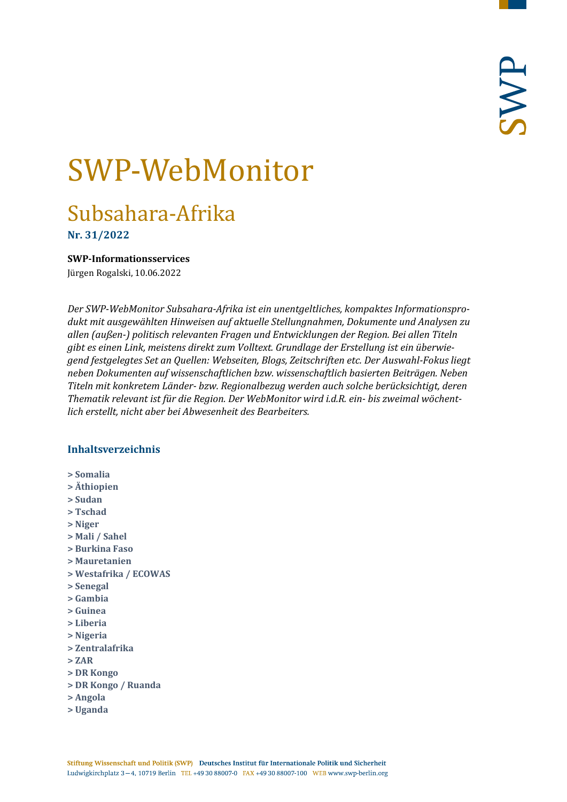# SWP-WebMonitor

## Subsahara-Afrika

**Nr. 31/2022**

<span id="page-0-0"></span>**SWP-Informationsservices**

Jürgen Rogalski, 10.06.2022

*Der SWP-WebMonitor Subsahara-Afrika ist ein unentgeltliches, kompaktes Informationsprodukt mit ausgewählten Hinweisen auf aktuelle Stellungnahmen, Dokumente und Analysen zu allen (außen-) politisch relevanten Fragen und Entwicklungen der Region. Bei allen Titeln gibt es einen Link, meistens direkt zum Volltext. Grundlage der Erstellung ist ein überwiegend festgelegtes Set an Quellen: Webseiten, Blogs, Zeitschriften etc. Der Auswahl-Fokus liegt neben Dokumenten auf wissenschaftlichen bzw. wissenschaftlich basierten Beiträgen. Neben Titeln mit konkretem Länder- bzw. Regionalbezug werden auch solche berücksichtigt, deren Thematik relevant ist für die Region. Der WebMonitor wird i.d.R. ein- bis zweimal wöchentlich erstellt, nicht aber bei Abwesenheit des Bearbeiters.*

## **Inhaltsverzeichnis**

- **[> Somalia](#page-1-0)**
- **[> Äthiopien](#page-2-0)**
- **[> Sudan](#page-2-1)**
- **[> Tschad](#page-3-0)**
- **[> Niger](#page-4-0)**
- **[> Mali / Sahel](#page-4-1)**
- **[> Burkina Faso](#page-5-0)**
- **[> Mauretanien](#page-5-1)**
- **[> Westafrika / ECOWAS](#page-6-0)**
- **[> Senegal](#page-6-1)**
- **[> Gambia](#page-7-0)**
- **[> Guinea](#page-7-1)**
- **[> Liberia](#page-8-0)**
- **[> Nigeria](#page-8-1)**
- **[> Zentralafrika](#page-9-0)**
- **[> ZAR](#page-9-1)**
- **[> DR Kongo](#page-10-0)**
- **[> DR Kongo / Ruanda](#page-10-1)**
- **[> Angola](#page-10-2)**
- **[> Uganda](#page-11-0)**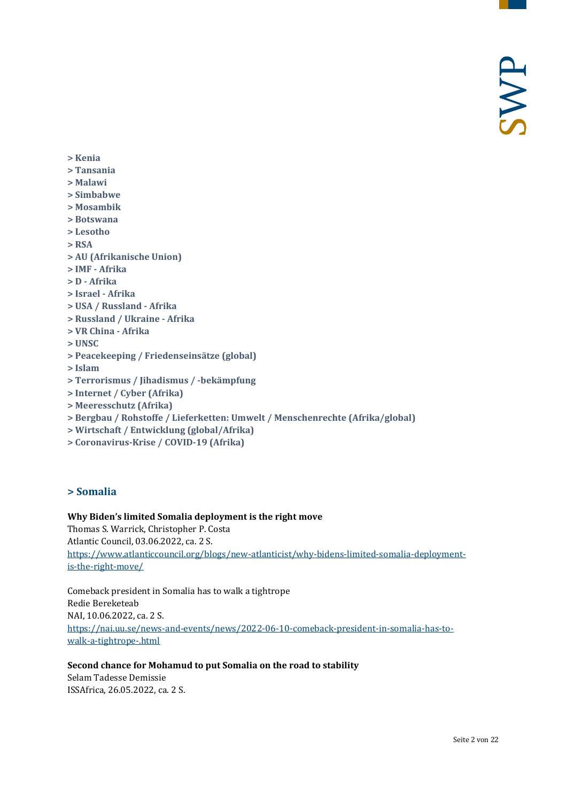- **[> Kenia](#page-11-1)**
- **[> Tansania](#page-11-2)**
- **[> Malawi](#page-12-0)**
- **[> Simbabwe](#page-12-1)**
- **[> Mosambik](#page-12-2)**
- **[> Botswana](#page-13-0)**
- **[> Lesotho](#page-13-1)**
- **[> RSA](#page-13-2)**
- **> AU [\(Afrikanische Union\)](#page-14-0)**
- **[> IMF -](#page-14-1) Afrika**
- **> D - [Afrika](#page-15-0)**
- **[> Israel -](#page-15-1) Afrika**
- **[> USA / Russland -](#page-15-2) Afrika**
- **[> Russland / Ukraine -](#page-15-3) Afrika**
- **[> VR China -](#page-16-0) Afrika**
- **[> UNSC](#page-16-1)**
- **[> Peacekeeping / Friedenseinsätze \(global\)](#page-17-0)**
- **[> Islam](#page-17-1)**
- **[> Terrorismus / Jihadismus / -bekämpfung](#page-17-2)**
- **[> Internet / Cyber \(Afrika\)](#page-18-0)**
- **[> Meeresschutz \(Afrika\)](#page-19-0)**
- **[> Bergbau / Rohstoffe / Lieferketten: Umwelt / Menschenrechte \(Afrika/global\)](#page-19-1)**
- **[> Wirtschaft / Entwicklung \(global/Afrika\)](#page-20-0)**
- <span id="page-1-0"></span>**[> Coronavirus-Krise / COVID-19 \(Afrika\)](#page-21-0)**

## **> Somalia**

#### **Why Biden's limited Somalia deployment is the right move**

Thomas S. Warrick, Christopher P. Costa Atlantic Council, 03.06.2022, ca. 2 S. [https://www.atlanticcouncil.org/blogs/new-atlanticist/why-bidens-limited-somalia-deployment](https://www.atlanticcouncil.org/blogs/new-atlanticist/why-bidens-limited-somalia-deployment-is-the-right-move/)[is-the-right-move/](https://www.atlanticcouncil.org/blogs/new-atlanticist/why-bidens-limited-somalia-deployment-is-the-right-move/)

Comeback president in Somalia has to walk a tightrope Redie Bereketeab NAI, 10.06.2022, ca. 2 S. [https://nai.uu.se/news-and-events/news/2022-06-10-comeback-president-in-somalia-has-to](https://nai.uu.se/news-and-events/news/2022-06-10-comeback-president-in-somalia-has-to-walk-a-tightrope-.html)[walk-a-tightrope-.html](https://nai.uu.se/news-and-events/news/2022-06-10-comeback-president-in-somalia-has-to-walk-a-tightrope-.html)

#### **Second chance for Mohamud to put Somalia on the road to stability**

Selam Tadesse Demissie ISSAfrica, 26.05.2022, ca. 2 S.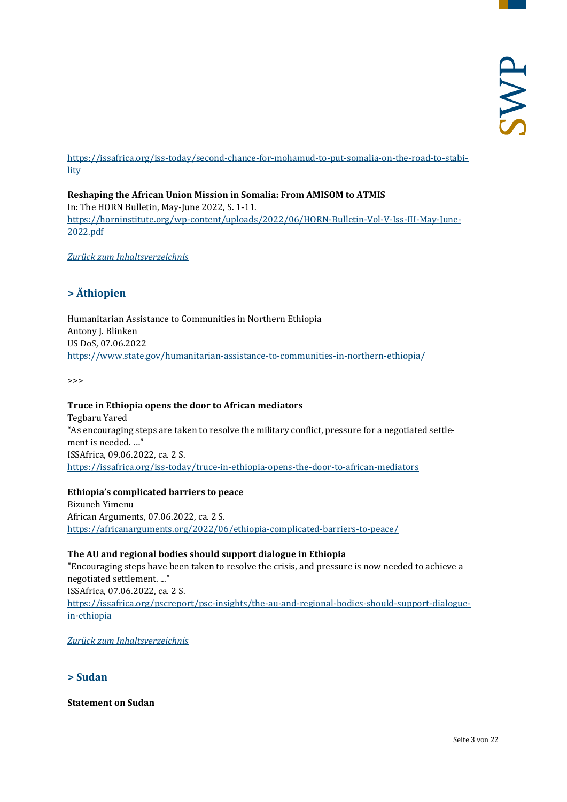[https://issafrica.org/iss-today/second-chance-for-mohamud-to-put-somalia-on-the-road-to-stabi](https://issafrica.org/iss-today/second-chance-for-mohamud-to-put-somalia-on-the-road-to-stability)[lity](https://issafrica.org/iss-today/second-chance-for-mohamud-to-put-somalia-on-the-road-to-stability)

**Reshaping the African Union Mission in Somalia: From AMISOM to ATMIS** In: The HORN Bulletin, May-June 2022, S. 1-11. [https://horninstitute.org/wp-content/uploads/2022/06/HORN-Bulletin-Vol-V-Iss-III-May-June-](https://horninstitute.org/wp-content/uploads/2022/06/HORN-Bulletin-Vol-V-Iss-III-May-June-2022.pdf)[2022.pdf](https://horninstitute.org/wp-content/uploads/2022/06/HORN-Bulletin-Vol-V-Iss-III-May-June-2022.pdf)

<span id="page-2-0"></span>*[Zurück zum Inhaltsverzeichnis](#page-0-0)*

## **> Äthiopien**

Humanitarian Assistance to Communities in Northern Ethiopia Antony J. Blinken US DoS, 07.06.2022 <https://www.state.gov/humanitarian-assistance-to-communities-in-northern-ethiopia/>

>>>

#### **Truce in Ethiopia opens the door to African mediators**

Tegbaru Yared "As encouraging steps are taken to resolve the military conflict, pressure for a negotiated settlement is needed. …" ISSAfrica, 09.06.2022, ca. 2 S. <https://issafrica.org/iss-today/truce-in-ethiopia-opens-the-door-to-african-mediators>

#### **Ethiopia's complicated barriers to peace**

Bizuneh Yimenu African Arguments, 07.06.2022, ca. 2 S. <https://africanarguments.org/2022/06/ethiopia-complicated-barriers-to-peace/>

#### **The AU and regional bodies should support dialogue in Ethiopia**

"Encouraging steps have been taken to resolve the crisis, and pressure is now needed to achieve a negotiated settlement. ..." ISSAfrica, 07.06.2022, ca. 2 S. [https://issafrica.org/pscreport/psc-insights/the-au-and-regional-bodies-should-support-dialogue](https://issafrica.org/pscreport/psc-insights/the-au-and-regional-bodies-should-support-dialogue-in-ethiopia)[in-ethiopia](https://issafrica.org/pscreport/psc-insights/the-au-and-regional-bodies-should-support-dialogue-in-ethiopia)

<span id="page-2-1"></span>*[Zurück zum Inhaltsverzeichnis](#page-0-0)*

## **> Sudan**

**Statement on Sudan**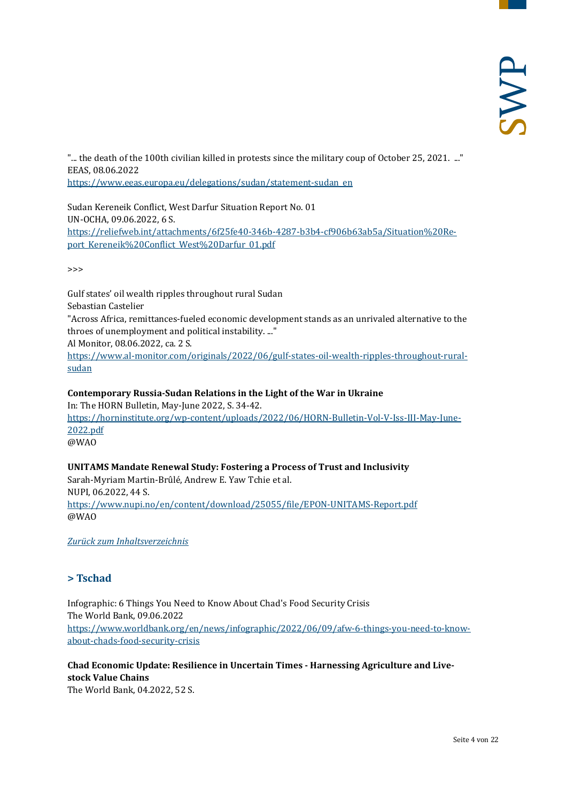"... the death of the 100th civilian killed in protests since the military coup of October 25, 2021. ..." EEAS, 08.06.2022 [https://www.eeas.europa.eu/delegations/sudan/statement-sudan\\_en](https://www.eeas.europa.eu/delegations/sudan/statement-sudan_en)

Sudan Kereneik Conflict, West Darfur Situation Report No. 01 UN-OCHA, 09.06.2022, 6 S. [https://reliefweb.int/attachments/6f25fe40-346b-4287-b3b4-cf906b63ab5a/Situation%20Re](https://reliefweb.int/attachments/6f25fe40-346b-4287-b3b4-cf906b63ab5a/Situation%20Report_Kereneik%20Conflict_West%20Darfur_01.pdf)[port\\_Kereneik%20Conflict\\_West%20Darfur\\_01.pdf](https://reliefweb.int/attachments/6f25fe40-346b-4287-b3b4-cf906b63ab5a/Situation%20Report_Kereneik%20Conflict_West%20Darfur_01.pdf)

>>>

Gulf states' oil wealth ripples throughout rural Sudan Sebastian Castelier "Across Africa, remittances-fueled economic development stands as an unrivaled alternative to the throes of unemployment and political instability. ..." Al Monitor, 08.06.2022, ca. 2 S. [https://www.al-monitor.com/originals/2022/06/gulf-states-oil-wealth-ripples-throughout-rural](https://www.al-monitor.com/originals/2022/06/gulf-states-oil-wealth-ripples-throughout-rural-sudan)[sudan](https://www.al-monitor.com/originals/2022/06/gulf-states-oil-wealth-ripples-throughout-rural-sudan)

**Contemporary Russia-Sudan Relations in the Light of the War in Ukraine** In: The HORN Bulletin, May-June 2022, S. 34-42. [https://horninstitute.org/wp-content/uploads/2022/06/HORN-Bulletin-Vol-V-Iss-III-May-June-](https://horninstitute.org/wp-content/uploads/2022/06/HORN-Bulletin-Vol-V-Iss-III-May-June-2022.pdf)[2022.pdf](https://horninstitute.org/wp-content/uploads/2022/06/HORN-Bulletin-Vol-V-Iss-III-May-June-2022.pdf) @WAO

**UNITAMS Mandate Renewal Study: Fostering a Process of Trust and Inclusivity** Sarah-Myriam Martin-Brûlé, Andrew E. Yaw Tchie et al. NUPI, 06.2022, 44 S. <https://www.nupi.no/en/content/download/25055/file/EPON-UNITAMS-Report.pdf> @WAO

<span id="page-3-0"></span>*[Zurück zum Inhaltsverzeichnis](#page-0-0)*

## **> Tschad**

Infographic: 6 Things You Need to Know About Chad's Food Security Crisis The World Bank, 09.06.2022 [https://www.worldbank.org/en/news/infographic/2022/06/09/afw-6-things-you-need-to-know](https://www.worldbank.org/en/news/infographic/2022/06/09/afw-6-things-you-need-to-know-about-chads-food-security-crisis)[about-chads-food-security-crisis](https://www.worldbank.org/en/news/infographic/2022/06/09/afw-6-things-you-need-to-know-about-chads-food-security-crisis)

**Chad Economic Update: Resilience in Uncertain Times - Harnessing Agriculture and Livestock Value Chains** The World Bank, 04.2022, 52 S.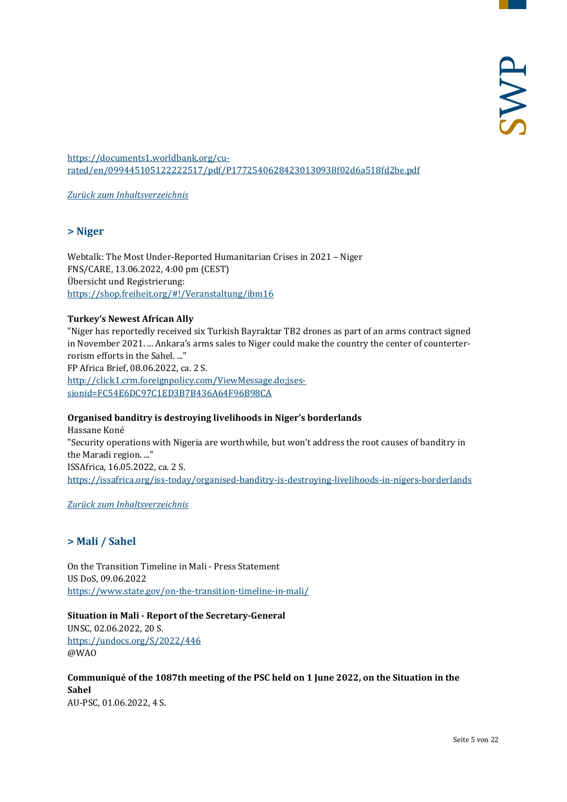[https://documents1.worldbank.org/cu](https://documents1.worldbank.org/curated/en/099445105122222517/pdf/P17725406284230130938f02d6a518fd2be.pdf)[rated/en/099445105122222517/pdf/P17725406284230130938f02d6a518fd2be.pdf](https://documents1.worldbank.org/curated/en/099445105122222517/pdf/P17725406284230130938f02d6a518fd2be.pdf)

<span id="page-4-0"></span>*[Zurück zum Inhaltsverzeichnis](#page-0-0)*

## **> Niger**

Webtalk: The Most Under-Reported Humanitarian Crises in 2021 – Niger FNS/CARE, 13.06.2022, 4:00 pm (CEST) Übersicht und Registrierung: <https://shop.freiheit.org/#!/Veranstaltung/ibm16>

## **Turkey's Newest African Ally**

"Niger has reportedly received six Turkish Bayraktar TB2 drones as part of an arms contract signed in November 2021. ... Ankara's arms sales to Niger could make the country the center of counterterrorism efforts in the Sahel. ..." FP Africa Brief, 08.06.2022, ca. 2 S. [http://click1.crm.foreignpolicy.com/ViewMessage.do;jses](http://click1.crm.foreignpolicy.com/ViewMessage.do;jsessionid=FC54E6DC97C1ED3B7B436A64F96B98CA)[sionid=FC54E6DC97C1ED3B7B436A64F96B98CA](http://click1.crm.foreignpolicy.com/ViewMessage.do;jsessionid=FC54E6DC97C1ED3B7B436A64F96B98CA)

## **Organised banditry is destroying livelihoods in Niger's borderlands**

Hassane Koné "Security operations with Nigeria are worthwhile, but won't address the root causes of banditry in the Maradi region. ..." ISSAfrica, 16.05.2022, ca. 2 S. <https://issafrica.org/iss-today/organised-banditry-is-destroying-livelihoods-in-nigers-borderlands>

<span id="page-4-1"></span>*[Zurück zum Inhaltsverzeichnis](#page-0-0)*

## **> Mali / Sahel**

On the Transition Timeline in Mali - Press Statement US DoS, 09.06.2022 <https://www.state.gov/on-the-transition-timeline-in-mali/>

**Situation in Mali - Report of the Secretary-General** UNSC, 02.06.2022, 20 S.

<https://undocs.org/S/2022/446> @WAO

#### **Communiqué of the 1087th meeting of the PSC held on 1 June 2022, on the Situation in the Sahel** AU-PSC, 01.06.2022, 4 S.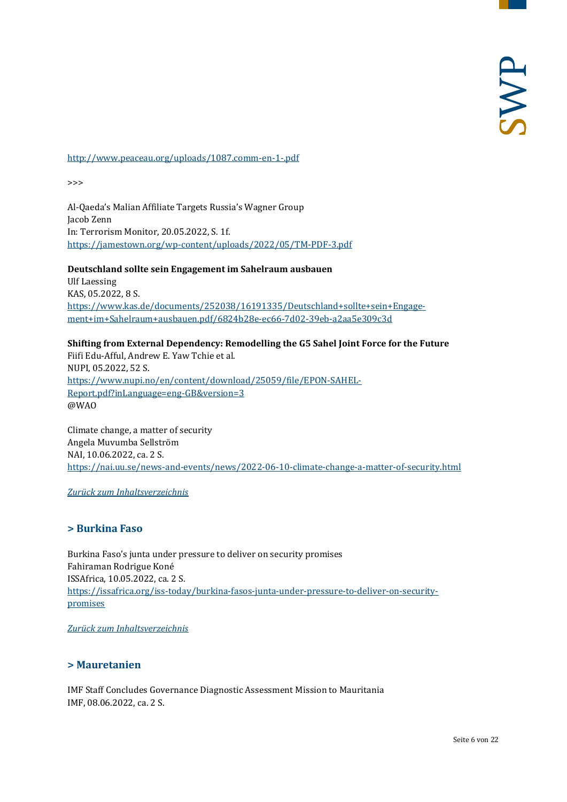#### <http://www.peaceau.org/uploads/1087.comm-en-1-.pdf>

>>>

Al-Qaeda's Malian Affiliate Targets Russia's Wagner Group Jacob Zenn In: Terrorism Monitor, 20.05.2022, S. 1f. <https://jamestown.org/wp-content/uploads/2022/05/TM-PDF-3.pdf>

**Deutschland sollte sein Engagement im Sahelraum ausbauen** Ulf Laessing KAS, 05.2022, 8 S. [https://www.kas.de/documents/252038/16191335/Deutschland+sollte+sein+Engage](https://www.kas.de/documents/252038/16191335/Deutschland+sollte+sein+Engagement+im+Sahelraum+ausbauen.pdf/6824b28e-ec66-7d02-39eb-a2aa5e309c3d)[ment+im+Sahelraum+ausbauen.pdf/6824b28e-ec66-7d02-39eb-a2aa5e309c3d](https://www.kas.de/documents/252038/16191335/Deutschland+sollte+sein+Engagement+im+Sahelraum+ausbauen.pdf/6824b28e-ec66-7d02-39eb-a2aa5e309c3d)

## **Shifting from External Dependency: Remodelling the G5 Sahel Joint Force for the Future**

Fiifi Edu-Afful, Andrew E. Yaw Tchie et al. NUPI, 05.2022, 52 S. [https://www.nupi.no/en/content/download/25059/file/EPON-SAHEL-](https://www.nupi.no/en/content/download/25059/file/EPON-SAHEL-Report.pdf?inLanguage=eng-GB&version=3)[Report.pdf?inLanguage=eng-GB&version=3](https://www.nupi.no/en/content/download/25059/file/EPON-SAHEL-Report.pdf?inLanguage=eng-GB&version=3) @WAO

Climate change, a matter of security Angela Muvumba Sellström NAI, 10.06.2022, ca. 2 S. <https://nai.uu.se/news-and-events/news/2022-06-10-climate-change-a-matter-of-security.html>

<span id="page-5-0"></span>*[Zurück zum Inhaltsverzeichnis](#page-0-0)*

## **> Burkina Faso**

Burkina Faso's junta under pressure to deliver on security promises Fahiraman Rodrigue Koné ISSAfrica, 10.05.2022, ca. 2 S. [https://issafrica.org/iss-today/burkina-fasos-junta-under-pressure-to-deliver-on-security](https://issafrica.org/iss-today/burkina-fasos-junta-under-pressure-to-deliver-on-security-promises)[promises](https://issafrica.org/iss-today/burkina-fasos-junta-under-pressure-to-deliver-on-security-promises)

<span id="page-5-1"></span>*[Zurück zum Inhaltsverzeichnis](#page-0-0)*

## **> Mauretanien**

IMF Staff Concludes Governance Diagnostic Assessment Mission to Mauritania IMF, 08.06.2022, ca. 2 S.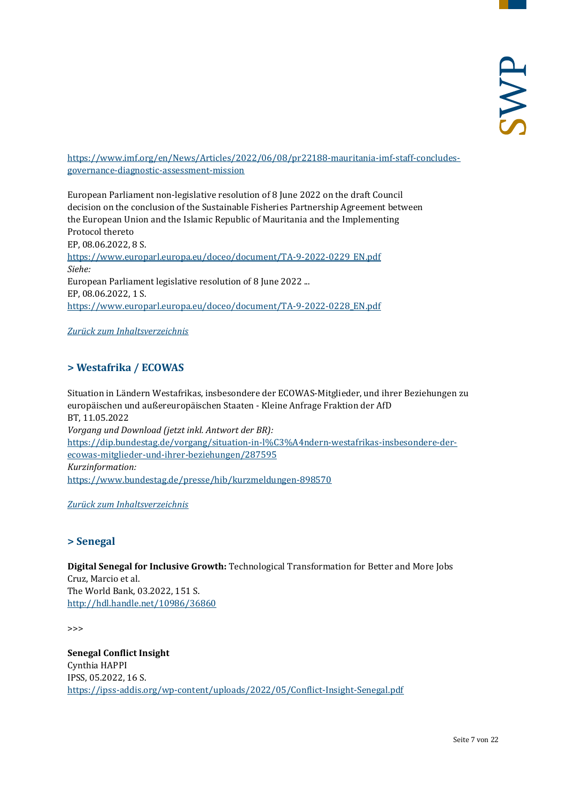[https://www.imf.org/en/News/Articles/2022/06/08/pr22188-mauritania-imf-staff-concludes](https://www.imf.org/en/News/Articles/2022/06/08/pr22188-mauritania-imf-staff-concludes-governance-diagnostic-assessment-mission)[governance-diagnostic-assessment-mission](https://www.imf.org/en/News/Articles/2022/06/08/pr22188-mauritania-imf-staff-concludes-governance-diagnostic-assessment-mission)

European Parliament non-legislative resolution of 8 June 2022 on the draft Council decision on the conclusion of the Sustainable Fisheries Partnership Agreement between the European Union and the Islamic Republic of Mauritania and the Implementing Protocol thereto EP, 08.06.2022, 8 S. [https://www.europarl.europa.eu/doceo/document/TA-9-2022-0229\\_EN.pdf](https://www.europarl.europa.eu/doceo/document/TA-9-2022-0229_EN.pdf) *Siehe:* European Parliament legislative resolution of 8 June 2022 ... EP, 08.06.2022, 1 S. [https://www.europarl.europa.eu/doceo/document/TA-9-2022-0228\\_EN.pdf](https://www.europarl.europa.eu/doceo/document/TA-9-2022-0228_EN.pdf)

<span id="page-6-0"></span>*[Zurück zum Inhaltsverzeichnis](#page-0-0)*

## **> Westafrika / ECOWAS**

Situation in Ländern Westafrikas, insbesondere der ECOWAS-Mitglieder, und ihrer Beziehungen zu europäischen und außereuropäischen Staaten - Kleine Anfrage Fraktion der AfD BT, 11.05.2022 *Vorgang und Download (jetzt inkl. Antwort der BR):* [https://dip.bundestag.de/vorgang/situation-in-l%C3%A4ndern-westafrikas-insbesondere-der](https://dip.bundestag.de/vorgang/situation-in-l%C3%A4ndern-westafrikas-insbesondere-der-ecowas-mitglieder-und-ihrer-beziehungen/287595)[ecowas-mitglieder-und-ihrer-beziehungen/287595](https://dip.bundestag.de/vorgang/situation-in-l%C3%A4ndern-westafrikas-insbesondere-der-ecowas-mitglieder-und-ihrer-beziehungen/287595) *Kurzinformation:* <https://www.bundestag.de/presse/hib/kurzmeldungen-898570>

<span id="page-6-1"></span>*[Zurück zum Inhaltsverzeichnis](#page-0-0)*

## **> Senegal**

**Digital Senegal for Inclusive Growth:** Technological Transformation for Better and More Jobs Cruz, Marcio et al. The World Bank, 03.2022, 151 S. <http://hdl.handle.net/10986/36860>

>>>

**Senegal Conflict Insight** Cynthia HAPPI IPSS, 05.2022, 16 S. <https://ipss-addis.org/wp-content/uploads/2022/05/Conflict-Insight-Senegal.pdf>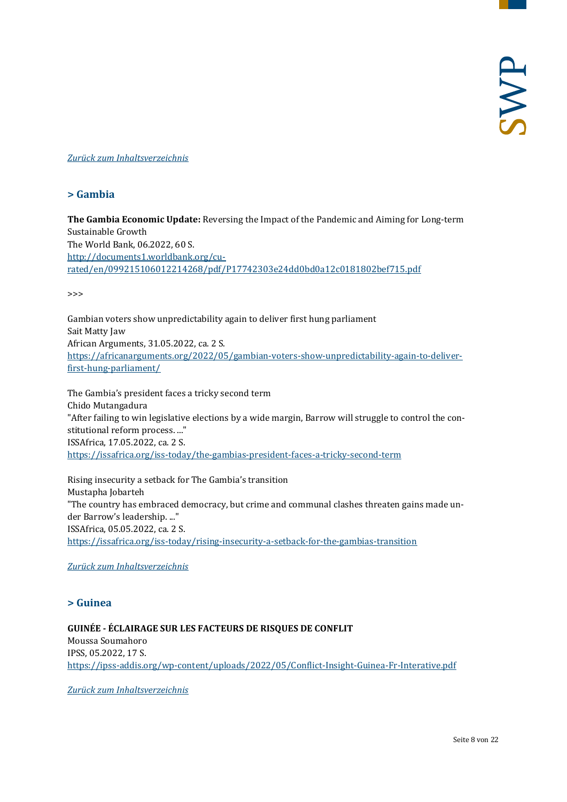## <span id="page-7-0"></span>*[Zurück zum Inhaltsverzeichnis](#page-0-0)*

## **> Gambia**

**The Gambia Economic Update:** Reversing the Impact of the Pandemic and Aiming for Long-term Sustainable Growth The World Bank, 06.2022, 60 S. [http://documents1.worldbank.org/cu](http://documents1.worldbank.org/curated/en/099215106012214268/pdf/P17742303e24dd0bd0a12c0181802bef715.pdf)[rated/en/099215106012214268/pdf/P17742303e24dd0bd0a12c0181802bef715.pdf](http://documents1.worldbank.org/curated/en/099215106012214268/pdf/P17742303e24dd0bd0a12c0181802bef715.pdf)

>>>

Gambian voters show unpredictability again to deliver first hung parliament Sait Matty Jaw African Arguments, 31.05.2022, ca. 2 S. [https://africanarguments.org/2022/05/gambian-voters-show-unpredictability-again-to-deliver](https://africanarguments.org/2022/05/gambian-voters-show-unpredictability-again-to-deliver-first-hung-parliament/)[first-hung-parliament/](https://africanarguments.org/2022/05/gambian-voters-show-unpredictability-again-to-deliver-first-hung-parliament/)

The Gambia's president faces a tricky second term Chido Mutangadura "After failing to win legislative elections by a wide margin, Barrow will struggle to control the constitutional reform process. ..." ISSAfrica, 17.05.2022, ca. 2 S. <https://issafrica.org/iss-today/the-gambias-president-faces-a-tricky-second-term>

Rising insecurity a setback for The Gambia's transition Mustapha Jobarteh "The country has embraced democracy, but crime and communal clashes threaten gains made under Barrow's leadership. ..." ISSAfrica, 05.05.2022, ca. 2 S. <https://issafrica.org/iss-today/rising-insecurity-a-setback-for-the-gambias-transition>

## <span id="page-7-1"></span>*[Zurück zum Inhaltsverzeichnis](#page-0-0)*

## **> Guinea**

#### **GUINÉE - ÉCLAIRAGE SUR LES FACTEURS DE RISQUES DE CONFLIT** Moussa Soumahoro IPSS, 05.2022, 17 S. <https://ipss-addis.org/wp-content/uploads/2022/05/Conflict-Insight-Guinea-Fr-Interative.pdf>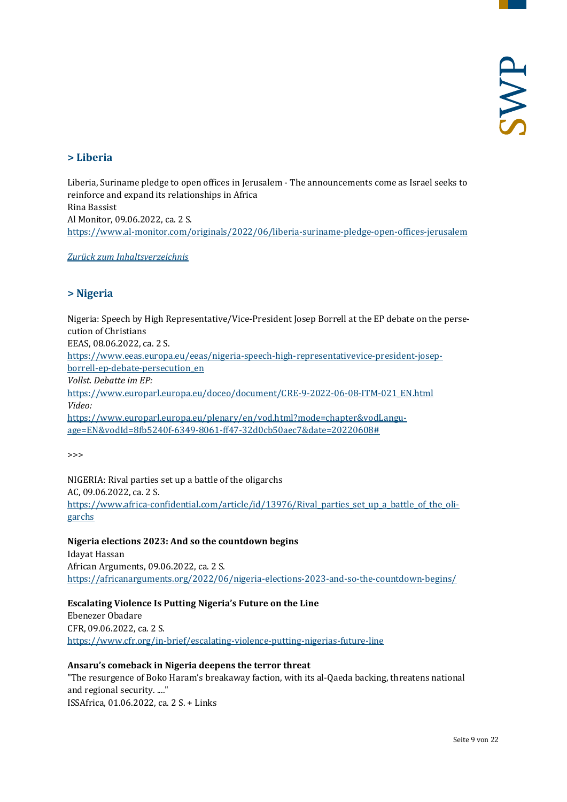## <span id="page-8-0"></span>**> Liberia**

Liberia, Suriname pledge to open offices in Jerusalem - The announcements come as Israel seeks to reinforce and expand its relationships in Africa Rina Bassist Al Monitor, 09.06.2022, ca. 2 S. <https://www.al-monitor.com/originals/2022/06/liberia-suriname-pledge-open-offices-jerusalem>

<span id="page-8-1"></span>*[Zurück zum Inhaltsverzeichnis](#page-0-0)*

## **> Nigeria**

Nigeria: Speech by High Representative/Vice-President Josep Borrell at the EP debate on the persecution of Christians EEAS, 08.06.2022, ca. 2 S. [https://www.eeas.europa.eu/eeas/nigeria-speech-high-representativevice-president-josep](https://www.eeas.europa.eu/eeas/nigeria-speech-high-representativevice-president-josep-borrell-ep-debate-persecution_en)[borrell-ep-debate-persecution\\_en](https://www.eeas.europa.eu/eeas/nigeria-speech-high-representativevice-president-josep-borrell-ep-debate-persecution_en) *Vollst. Debatte im EP:* [https://www.europarl.europa.eu/doceo/document/CRE-9-2022-06-08-ITM-021\\_EN.html](https://www.europarl.europa.eu/doceo/document/CRE-9-2022-06-08-ITM-021_EN.html) *Video:* [https://www.europarl.europa.eu/plenary/en/vod.html?mode=chapter&vodLangu](https://www.europarl.europa.eu/plenary/en/vod.html?mode=chapter&vodLanguage=EN&vodId=8fb5240f-6349-8061-ff47-32d0cb50aec7&date=20220608)[age=EN&vodId=8fb5240f-6349-8061-ff47-32d0cb50aec7&date=20220608#](https://www.europarl.europa.eu/plenary/en/vod.html?mode=chapter&vodLanguage=EN&vodId=8fb5240f-6349-8061-ff47-32d0cb50aec7&date=20220608)

>>>

NIGERIA: Rival parties set up a battle of the oligarchs AC, 09.06.2022, ca. 2 S. https://www.africa-confidential.com/article/id/13976/Rival parties set up a battle of the oli[garchs](https://www.africa-confidential.com/article/id/13976/Rival_parties_set_up_a_battle_of_the_oligarchs)

## **Nigeria elections 2023: And so the countdown begins**

Idayat Hassan African Arguments, 09.06.2022, ca. 2 S. <https://africanarguments.org/2022/06/nigeria-elections-2023-and-so-the-countdown-begins/>

## **Escalating Violence Is Putting Nigeria's Future on the Line**

Ebenezer Obadare CFR, 09.06.2022, ca. 2 S. <https://www.cfr.org/in-brief/escalating-violence-putting-nigerias-future-line>

## **Ansaru's comeback in Nigeria deepens the terror threat**

"The resurgence of Boko Haram's breakaway faction, with its al-Qaeda backing, threatens national and regional security. ...." ISSAfrica, 01.06.2022, ca. 2 S. + Links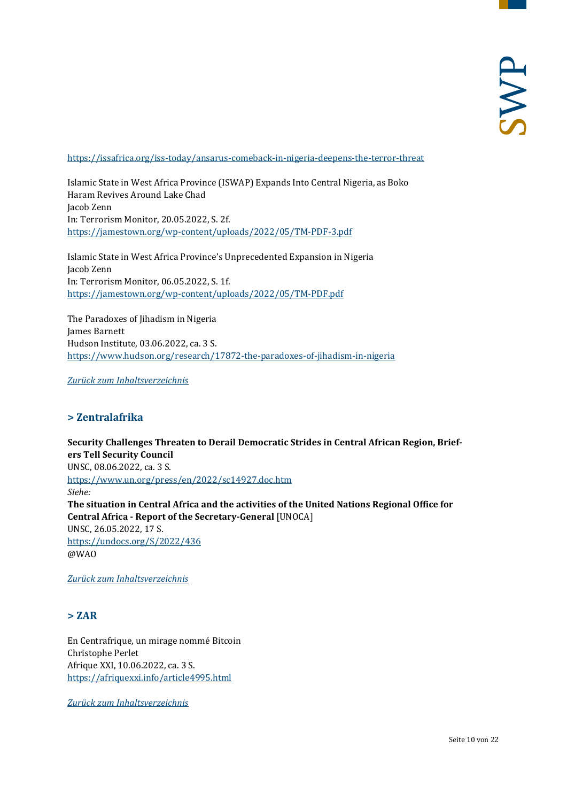#### <https://issafrica.org/iss-today/ansarus-comeback-in-nigeria-deepens-the-terror-threat>

Islamic State in West Africa Province (ISWAP) Expands Into Central Nigeria, as Boko Haram Revives Around Lake Chad Jacob Zenn In: Terrorism Monitor, 20.05.2022, S. 2f. <https://jamestown.org/wp-content/uploads/2022/05/TM-PDF-3.pdf>

Islamic State in West Africa Province's Unprecedented Expansion in Nigeria Jacob Zenn In: Terrorism Monitor, 06.05.2022, S. 1f. <https://jamestown.org/wp-content/uploads/2022/05/TM-PDF.pdf>

The Paradoxes of Jihadism in Nigeria James Barnett Hudson Institute, 03.06.2022, ca. 3 S. <https://www.hudson.org/research/17872-the-paradoxes-of-jihadism-in-nigeria>

<span id="page-9-0"></span>*[Zurück zum Inhaltsverzeichnis](#page-0-0)*

## **> Zentralafrika**

**Security Challenges Threaten to Derail Democratic Strides in Central African Region, Briefers Tell Security Council** UNSC, 08.06.2022, ca. 3 S. <https://www.un.org/press/en/2022/sc14927.doc.htm> *Siehe:* **The situation in Central Africa and the activities of the United Nations Regional Office for Central Africa - Report of the Secretary-General** [UNOCA] UNSC, 26.05.2022, 17 S. <https://undocs.org/S/2022/436> @WAO

<span id="page-9-1"></span>*[Zurück zum Inhaltsverzeichnis](#page-0-0)*

## **> ZAR**

En Centrafrique, un mirage nommé Bitcoin Christophe Perlet Afrique XXI, 10.06.2022, ca. 3 S. <https://afriquexxi.info/article4995.html>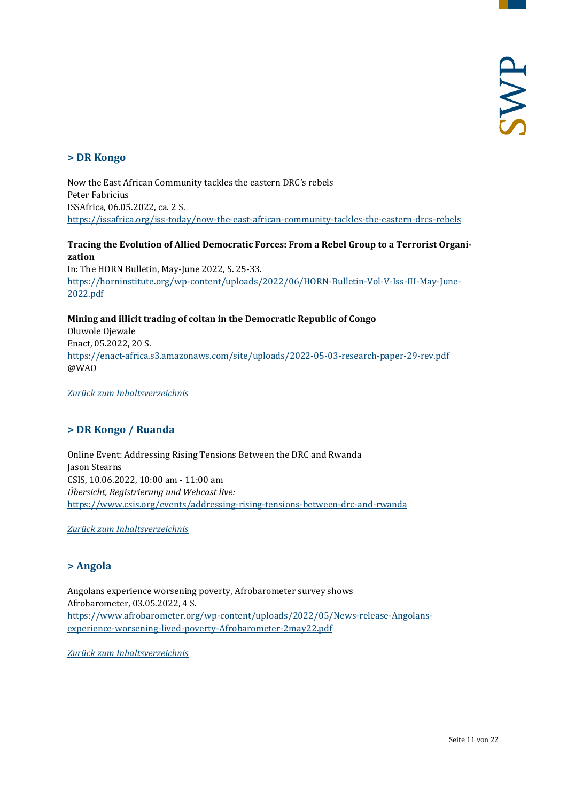## <span id="page-10-0"></span>**> DR Kongo**

Now the East African Community tackles the eastern DRC's rebels Peter Fabricius ISSAfrica, 06.05.2022, ca. 2 S. <https://issafrica.org/iss-today/now-the-east-african-community-tackles-the-eastern-drcs-rebels>

## **Tracing the Evolution of Allied Democratic Forces: From a Rebel Group to a Terrorist Organization**

In: The HORN Bulletin, May-June 2022, S. 25-33. [https://horninstitute.org/wp-content/uploads/2022/06/HORN-Bulletin-Vol-V-Iss-III-May-June-](https://horninstitute.org/wp-content/uploads/2022/06/HORN-Bulletin-Vol-V-Iss-III-May-June-2022.pdf)[2022.pdf](https://horninstitute.org/wp-content/uploads/2022/06/HORN-Bulletin-Vol-V-Iss-III-May-June-2022.pdf)

**Mining and illicit trading of coltan in the Democratic Republic of Congo** Oluwole Ojewale Enact, 05.2022, 20 S. <https://enact-africa.s3.amazonaws.com/site/uploads/2022-05-03-research-paper-29-rev.pdf> @WAO

<span id="page-10-1"></span>*[Zurück zum Inhaltsverzeichnis](#page-0-0)*

## **> DR Kongo / Ruanda**

Online Event: Addressing Rising Tensions Between the DRC and Rwanda Jason Stearns CSIS, 10.06.2022, 10:00 am - 11:00 am *Übersicht, Registrierung und Webcast live:* <https://www.csis.org/events/addressing-rising-tensions-between-drc-and-rwanda>

<span id="page-10-2"></span>*[Zurück zum Inhaltsverzeichnis](#page-0-0)*

## **> Angola**

Angolans experience worsening poverty, Afrobarometer survey shows Afrobarometer, 03.05.2022, 4 S. [https://www.afrobarometer.org/wp-content/uploads/2022/05/News-release-Angolans](https://www.afrobarometer.org/wp-content/uploads/2022/05/News-release-Angolans-experience-worsening-lived-poverty-Afrobarometer-2may22.pdf)[experience-worsening-lived-poverty-Afrobarometer-2may22.pdf](https://www.afrobarometer.org/wp-content/uploads/2022/05/News-release-Angolans-experience-worsening-lived-poverty-Afrobarometer-2may22.pdf)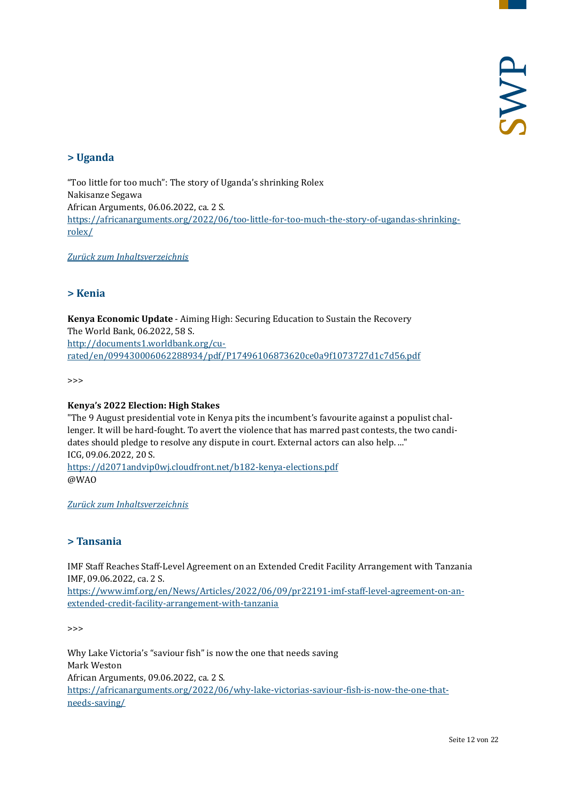## <span id="page-11-0"></span>**> Uganda**

"Too little for too much": The story of Uganda's shrinking Rolex Nakisanze Segawa African Arguments, 06.06.2022, ca. 2 S. [https://africanarguments.org/2022/06/too-little-for-too-much-the-story-of-ugandas-shrinking](https://africanarguments.org/2022/06/too-little-for-too-much-the-story-of-ugandas-shrinking-rolex/)[rolex/](https://africanarguments.org/2022/06/too-little-for-too-much-the-story-of-ugandas-shrinking-rolex/)

<span id="page-11-1"></span>*[Zurück zum Inhaltsverzeichnis](#page-0-0)*

## **> Kenia**

**Kenya Economic Update** - Aiming High: Securing Education to Sustain the Recovery The World Bank, 06.2022, 58 S. [http://documents1.worldbank.org/cu](http://documents1.worldbank.org/curated/en/099430006062288934/pdf/P17496106873620ce0a9f1073727d1c7d56.pdf)[rated/en/099430006062288934/pdf/P17496106873620ce0a9f1073727d1c7d56.pdf](http://documents1.worldbank.org/curated/en/099430006062288934/pdf/P17496106873620ce0a9f1073727d1c7d56.pdf)

>>>

#### **Kenya's 2022 Election: High Stakes**

"The 9 August presidential vote in Kenya pits the incumbent's favourite against a populist challenger. It will be hard-fought. To avert the violence that has marred past contests, the two candidates should pledge to resolve any dispute in court. External actors can also help. ..." ICG, 09.06.2022, 20 S. <https://d2071andvip0wj.cloudfront.net/b182-kenya-elections.pdf> @WAO

<span id="page-11-2"></span>*[Zurück zum Inhaltsverzeichnis](#page-0-0)*

## **> Tansania**

IMF Staff Reaches Staff-Level Agreement on an Extended Credit Facility Arrangement with Tanzania IMF, 09.06.2022, ca. 2 S.

[https://www.imf.org/en/News/Articles/2022/06/09/pr22191-imf-staff-level-agreement-on-an](https://www.imf.org/en/News/Articles/2022/06/09/pr22191-imf-staff-level-agreement-on-an-extended-credit-facility-arrangement-with-tanzania)[extended-credit-facility-arrangement-with-tanzania](https://www.imf.org/en/News/Articles/2022/06/09/pr22191-imf-staff-level-agreement-on-an-extended-credit-facility-arrangement-with-tanzania)

>>>

Why Lake Victoria's "saviour fish" is now the one that needs saving Mark Weston African Arguments, 09.06.2022, ca. 2 S. [https://africanarguments.org/2022/06/why-lake-victorias-saviour-fish-is-now-the-one-that](https://africanarguments.org/2022/06/why-lake-victorias-saviour-fish-is-now-the-one-that-needs-saving/)[needs-saving/](https://africanarguments.org/2022/06/why-lake-victorias-saviour-fish-is-now-the-one-that-needs-saving/)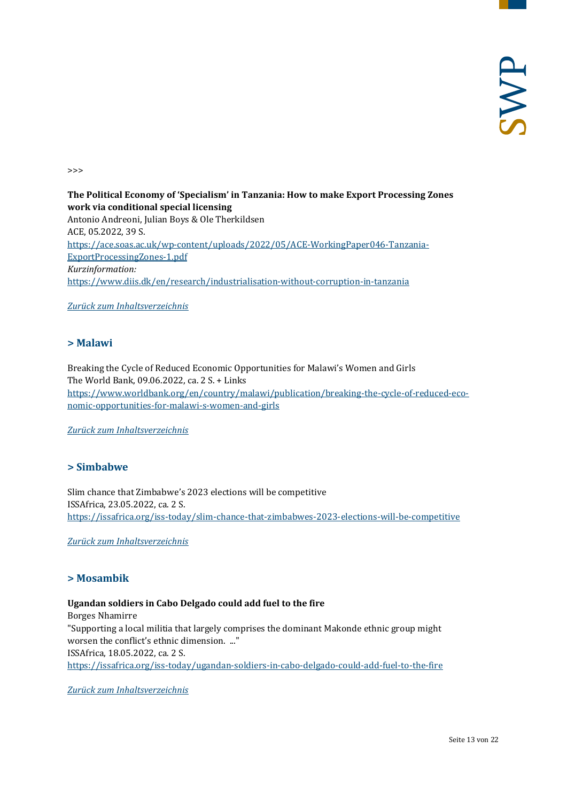>>>

**The Political Economy of 'Specialism' in Tanzania: How to make Export Processing Zones work via conditional special licensing** Antonio Andreoni, Julian Boys & Ole Therkildsen ACE, 05.2022, 39 S. [https://ace.soas.ac.uk/wp-content/uploads/2022/05/ACE-WorkingPaper046-Tanzania-](https://ace.soas.ac.uk/wp-content/uploads/2022/05/ACE-WorkingPaper046-Tanzania-ExportProcessingZones-1.pdf)[ExportProcessingZones-1.pdf](https://ace.soas.ac.uk/wp-content/uploads/2022/05/ACE-WorkingPaper046-Tanzania-ExportProcessingZones-1.pdf) *Kurzinformation:* <https://www.diis.dk/en/research/industrialisation-without-corruption-in-tanzania>

<span id="page-12-0"></span>*[Zurück zum Inhaltsverzeichnis](#page-0-0)*

## **> Malawi**

Breaking the Cycle of Reduced Economic Opportunities for Malawi's Women and Girls The World Bank, 09.06.2022, ca. 2 S. + Links [https://www.worldbank.org/en/country/malawi/publication/breaking-the-cycle-of-reduced-eco](https://www.worldbank.org/en/country/malawi/publication/breaking-the-cycle-of-reduced-economic-opportunities-for-malawi-s-women-and-girls)[nomic-opportunities-for-malawi-s-women-and-girls](https://www.worldbank.org/en/country/malawi/publication/breaking-the-cycle-of-reduced-economic-opportunities-for-malawi-s-women-and-girls)

<span id="page-12-1"></span>*[Zurück zum Inhaltsverzeichnis](#page-0-0)*

## **> Simbabwe**

Slim chance that Zimbabwe's 2023 elections will be competitive ISSAfrica, 23.05.2022, ca. 2 S. <https://issafrica.org/iss-today/slim-chance-that-zimbabwes-2023-elections-will-be-competitive>

<span id="page-12-2"></span>*[Zurück zum Inhaltsverzeichnis](#page-0-0)*

## **> Mosambik**

## **Ugandan soldiers in Cabo Delgado could add fuel to the fire**

Borges Nhamirre "Supporting a local militia that largely comprises the dominant Makonde ethnic group might worsen the conflict's ethnic dimension. ..." ISSAfrica, 18.05.2022, ca. 2 S. <https://issafrica.org/iss-today/ugandan-soldiers-in-cabo-delgado-could-add-fuel-to-the-fire>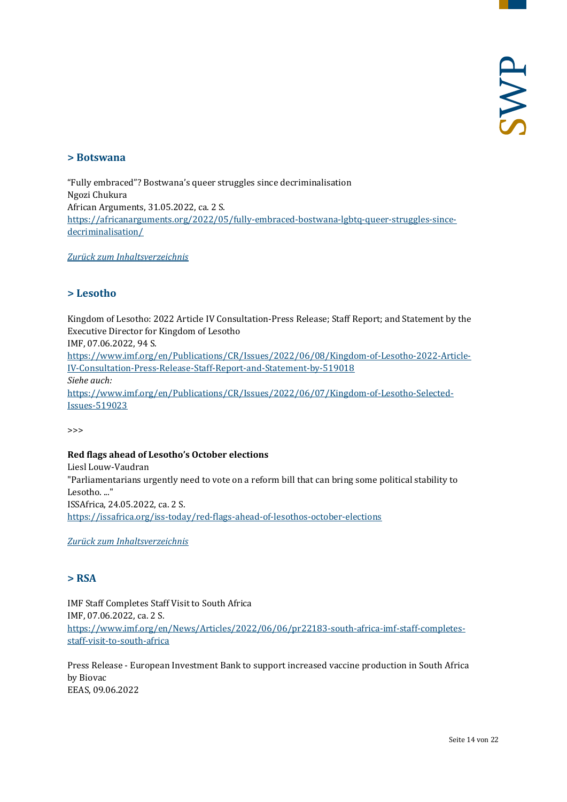## <span id="page-13-0"></span>**> Botswana**

"Fully embraced"? Bostwana's queer struggles since decriminalisation Ngozi Chukura African Arguments, 31.05.2022, ca. 2 S. [https://africanarguments.org/2022/05/fully-embraced-bostwana-lgbtq-queer-struggles-since](https://africanarguments.org/2022/05/fully-embraced-bostwana-lgbtq-queer-struggles-since-decriminalisation/)[decriminalisation/](https://africanarguments.org/2022/05/fully-embraced-bostwana-lgbtq-queer-struggles-since-decriminalisation/)

<span id="page-13-1"></span>*[Zurück zum Inhaltsverzeichnis](#page-0-0)*

## **> Lesotho**

Kingdom of Lesotho: 2022 Article IV Consultation-Press Release; Staff Report; and Statement by the Executive Director for Kingdom of Lesotho IMF, 07.06.2022, 94 S. [https://www.imf.org/en/Publications/CR/Issues/2022/06/08/Kingdom-of-Lesotho-2022-Article-](https://www.imf.org/en/Publications/CR/Issues/2022/06/08/Kingdom-of-Lesotho-2022-Article-IV-Consultation-Press-Release-Staff-Report-and-Statement-by-519018)[IV-Consultation-Press-Release-Staff-Report-and-Statement-by-519018](https://www.imf.org/en/Publications/CR/Issues/2022/06/08/Kingdom-of-Lesotho-2022-Article-IV-Consultation-Press-Release-Staff-Report-and-Statement-by-519018) *Siehe auch:* [https://www.imf.org/en/Publications/CR/Issues/2022/06/07/Kingdom-of-Lesotho-Selected-](https://www.imf.org/en/Publications/CR/Issues/2022/06/07/Kingdom-of-Lesotho-Selected-Issues-519023)[Issues-519023](https://www.imf.org/en/Publications/CR/Issues/2022/06/07/Kingdom-of-Lesotho-Selected-Issues-519023)

>>>

## **Red flags ahead of Lesotho's October elections**

Liesl Louw-Vaudran "Parliamentarians urgently need to vote on a reform bill that can bring some political stability to Lesotho. ..." ISSAfrica, 24.05.2022, ca. 2 S. <https://issafrica.org/iss-today/red-flags-ahead-of-lesothos-october-elections>

<span id="page-13-2"></span>*[Zurück zum Inhaltsverzeichnis](#page-0-0)*

## **> RSA**

IMF Staff Completes Staff Visit to South Africa IMF, 07.06.2022, ca. 2 S. [https://www.imf.org/en/News/Articles/2022/06/06/pr22183-south-africa-imf-staff-completes](https://www.imf.org/en/News/Articles/2022/06/06/pr22183-south-africa-imf-staff-completes-staff-visit-to-south-africa)[staff-visit-to-south-africa](https://www.imf.org/en/News/Articles/2022/06/06/pr22183-south-africa-imf-staff-completes-staff-visit-to-south-africa)

Press Release - European Investment Bank to support increased vaccine production in South Africa by Biovac EEAS, 09.06.2022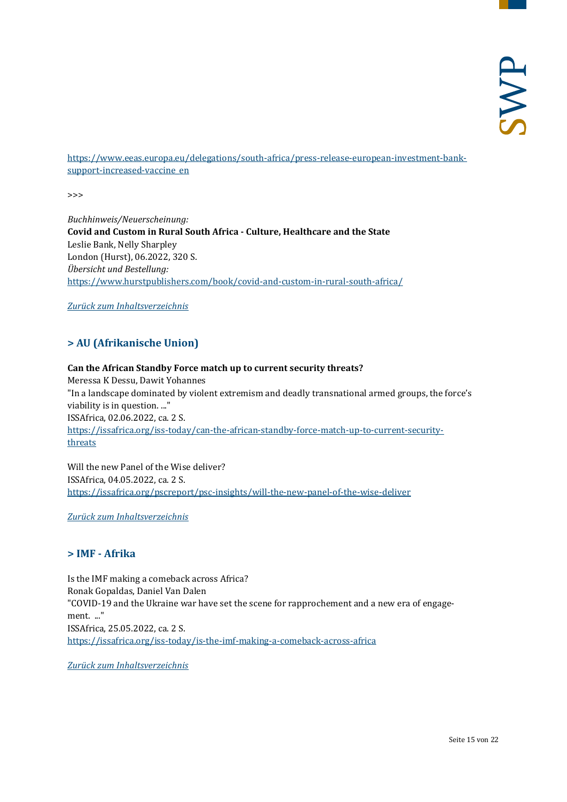[https://www.eeas.europa.eu/delegations/south-africa/press-release-european-investment-bank](https://www.eeas.europa.eu/delegations/south-africa/press-release-european-investment-bank-support-increased-vaccine_en)[support-increased-vaccine\\_en](https://www.eeas.europa.eu/delegations/south-africa/press-release-european-investment-bank-support-increased-vaccine_en)

>>>

*Buchhinweis/Neuerscheinung:* **Covid and Custom in Rural South Africa - Culture, Healthcare and the State** Leslie Bank, Nelly Sharpley London (Hurst), 06.2022, 320 S. *Übersicht und Bestellung:* <https://www.hurstpublishers.com/book/covid-and-custom-in-rural-south-africa/>

<span id="page-14-0"></span>*[Zurück zum Inhaltsverzeichnis](#page-0-0)*

## **> AU (Afrikanische Union)**

## **Can the African Standby Force match up to current security threats?** Meressa K Dessu, Dawit Yohannes "In a landscape dominated by violent extremism and deadly transnational armed groups, the force's viability is in question. ..." ISSAfrica, 02.06.2022, ca. 2 S. [https://issafrica.org/iss-today/can-the-african-standby-force-match-up-to-current-security](https://issafrica.org/iss-today/can-the-african-standby-force-match-up-to-current-security-threats)[threats](https://issafrica.org/iss-today/can-the-african-standby-force-match-up-to-current-security-threats)

Will the new Panel of the Wise deliver? ISSAfrica, 04.05.2022, ca. 2 S. <https://issafrica.org/pscreport/psc-insights/will-the-new-panel-of-the-wise-deliver>

<span id="page-14-1"></span>*[Zurück zum Inhaltsverzeichnis](#page-0-0)*

## **> IMF - Afrika**

Is the IMF making a comeback across Africa? Ronak Gopaldas, Daniel Van Dalen "COVID-19 and the Ukraine war have set the scene for rapprochement and a new era of engagement. ..." ISSAfrica, 25.05.2022, ca. 2 S. <https://issafrica.org/iss-today/is-the-imf-making-a-comeback-across-africa>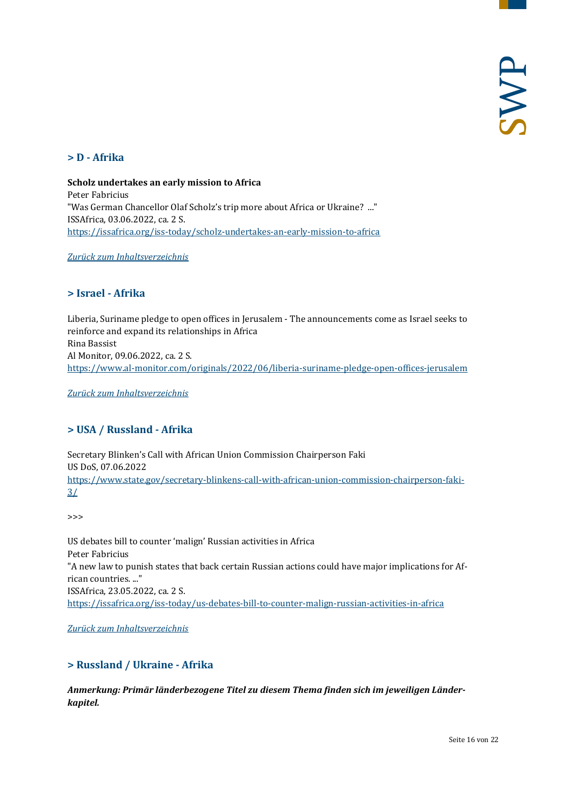## <span id="page-15-0"></span>**> D - Afrika**

**Scholz undertakes an early mission to Africa** Peter Fabricius "Was German Chancellor Olaf Scholz's trip more about Africa or Ukraine? ..." ISSAfrica, 03.06.2022, ca. 2 S. <https://issafrica.org/iss-today/scholz-undertakes-an-early-mission-to-africa>

<span id="page-15-1"></span>*[Zurück zum Inhaltsverzeichnis](#page-0-0)*

## **> Israel - Afrika**

Liberia, Suriname pledge to open offices in Jerusalem - The announcements come as Israel seeks to reinforce and expand its relationships in Africa Rina Bassist Al Monitor, 09.06.2022, ca. 2 S. <https://www.al-monitor.com/originals/2022/06/liberia-suriname-pledge-open-offices-jerusalem>

<span id="page-15-2"></span>*[Zurück zum Inhaltsverzeichnis](#page-0-0)*

## **> USA / Russland - Afrika**

Secretary Blinken's Call with African Union Commission Chairperson Faki US DoS, 07.06.2022 [https://www.state.gov/secretary-blinkens-call-with-african-union-commission-chairperson-faki-](https://www.state.gov/secretary-blinkens-call-with-african-union-commission-chairperson-faki-3/)[3/](https://www.state.gov/secretary-blinkens-call-with-african-union-commission-chairperson-faki-3/)

>>>

US debates bill to counter 'malign' Russian activities in Africa Peter Fabricius "A new law to punish states that back certain Russian actions could have major implications for African countries. ..." ISSAfrica, 23.05.2022, ca. 2 S. <https://issafrica.org/iss-today/us-debates-bill-to-counter-malign-russian-activities-in-africa>

<span id="page-15-3"></span>*[Zurück zum Inhaltsverzeichnis](#page-0-0)*

## **> Russland / Ukraine - Afrika**

*Anmerkung: Primär länderbezogene Titel zu diesem Thema finden sich im jeweiligen Länderkapitel.*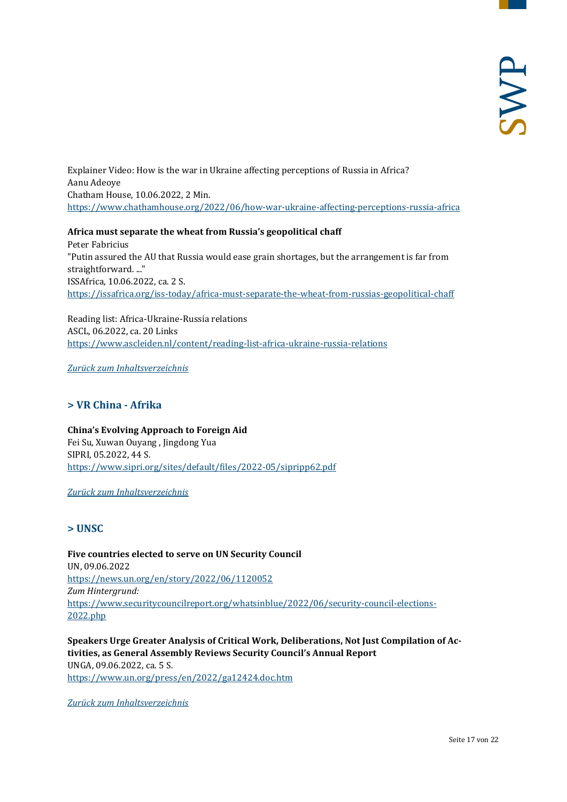Explainer Video: How is the war in Ukraine affecting perceptions of Russia in Africa? Aanu Adeoye Chatham House, 10.06.2022, 2 Min. <https://www.chathamhouse.org/2022/06/how-war-ukraine-affecting-perceptions-russia-africa>

**Africa must separate the wheat from Russia's geopolitical chaff** Peter Fabricius

"Putin assured the AU that Russia would ease grain shortages, but the arrangement is far from straightforward. ..." ISSAfrica, 10.06.2022, ca. 2 S. <https://issafrica.org/iss-today/africa-must-separate-the-wheat-from-russias-geopolitical-chaff>

Reading list: Africa-Ukraine-Russia relations ASCL, 06.2022, ca. 20 Links <https://www.ascleiden.nl/content/reading-list-africa-ukraine-russia-relations>

<span id="page-16-0"></span>*[Zurück zum Inhaltsverzeichnis](#page-0-0)*

## **> VR China - Afrika**

**China's Evolving Approach to Foreign Aid** Fei Su, Xuwan Ouyang , Jingdong Yua SIPRI, 05.2022, 44 S. <https://www.sipri.org/sites/default/files/2022-05/sipripp62.pdf>

<span id="page-16-1"></span>*[Zurück zum Inhaltsverzeichnis](#page-0-0)*

## **> UNSC**

**Five countries elected to serve on UN Security Council**  UN, 09.06.2022 <https://news.un.org/en/story/2022/06/1120052> *Zum Hintergrund:* [https://www.securitycouncilreport.org/whatsinblue/2022/06/security-council-elections-](https://www.securitycouncilreport.org/whatsinblue/2022/06/security-council-elections-2022.php)[2022.php](https://www.securitycouncilreport.org/whatsinblue/2022/06/security-council-elections-2022.php)

**Speakers Urge Greater Analysis of Critical Work, Deliberations, Not Just Compilation of Activities, as General Assembly Reviews Security Council's Annual Report** UNGA, 09.06.2022, ca. 5 S. <https://www.un.org/press/en/2022/ga12424.doc.htm>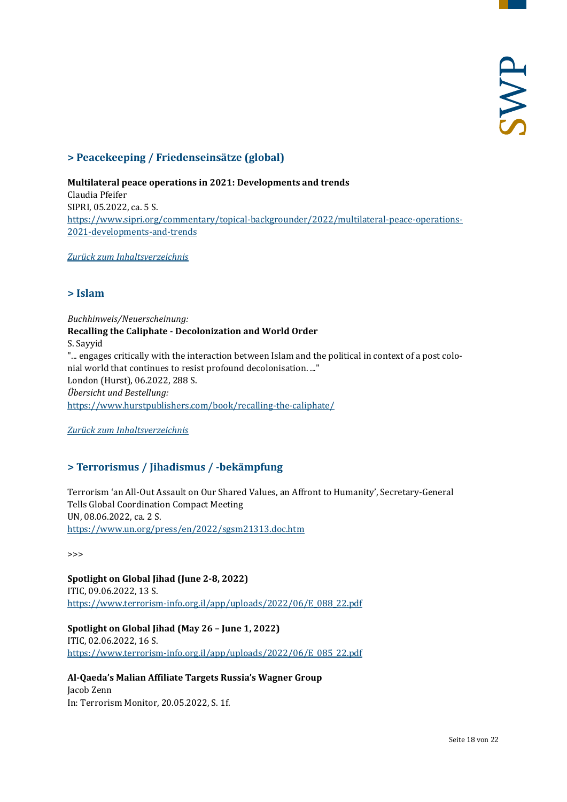## <span id="page-17-0"></span>**> Peacekeeping / Friedenseinsätze (global)**

## **Multilateral peace operations in 2021: Developments and trends** Claudia Pfeifer SIPRI, 05.2022, ca. 5 S. [https://www.sipri.org/commentary/topical-backgrounder/2022/multilateral-peace-operations-](https://www.sipri.org/commentary/topical-backgrounder/2022/multilateral-peace-operations-2021-developments-and-trends)[2021-developments-and-trends](https://www.sipri.org/commentary/topical-backgrounder/2022/multilateral-peace-operations-2021-developments-and-trends)

<span id="page-17-1"></span>*[Zurück zum Inhaltsverzeichnis](#page-0-0)*

## **> Islam**

*Buchhinweis/Neuerscheinung:* **Recalling the Caliphate - Decolonization and World Order** S. Sayyid "... engages critically with the interaction between Islam and the political in context of a post colonial world that continues to resist profound decolonisation. ..." London (Hurst), 06.2022, 288 S. *Übersicht und Bestellung:* <https://www.hurstpublishers.com/book/recalling-the-caliphate/>

<span id="page-17-2"></span>*[Zurück zum Inhaltsverzeichnis](#page-0-0)*

## **> Terrorismus / Jihadismus / -bekämpfung**

Terrorism 'an All-Out Assault on Our Shared Values, an Affront to Humanity', Secretary-General Tells Global Coordination Compact Meeting UN, 08.06.2022, ca. 2 S. <https://www.un.org/press/en/2022/sgsm21313.doc.htm>

>>>

**Spotlight on Global Jihad (June 2-8, 2022)** ITIC, 09.06.2022, 13 S. [https://www.terrorism-info.org.il/app/uploads/2022/06/E\\_088\\_22.pdf](https://www.terrorism-info.org.il/app/uploads/2022/06/E_088_22.pdf)

**Spotlight on Global Jihad (May 26 – June 1, 2022)**

ITIC, 02.06.2022, 16 S. [https://www.terrorism-info.org.il/app/uploads/2022/06/E\\_085\\_22.pdf](https://www.terrorism-info.org.il/app/uploads/2022/06/E_085_22.pdf)

**Al-Qaeda's Malian Affiliate Targets Russia's Wagner Group** Jacob Zenn In: Terrorism Monitor, 20.05.2022, S. 1f.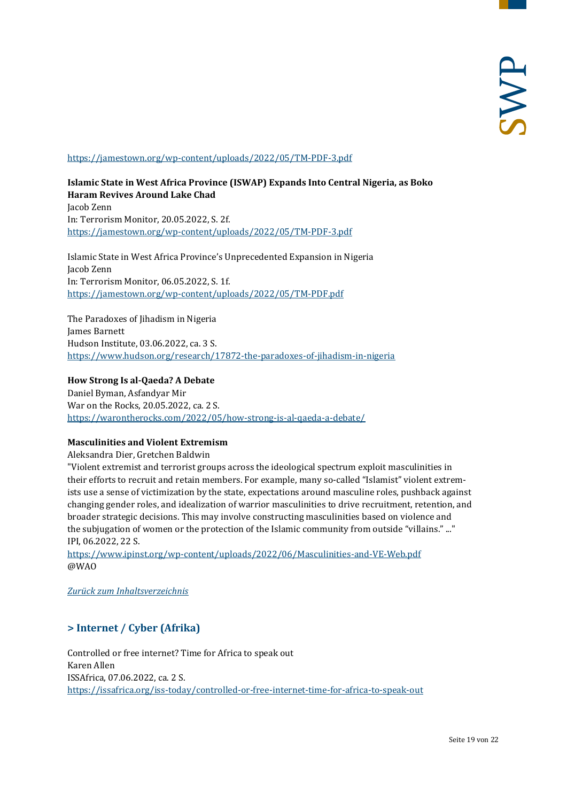#### <https://jamestown.org/wp-content/uploads/2022/05/TM-PDF-3.pdf>

**Islamic State in West Africa Province (ISWAP) Expands Into Central Nigeria, as Boko Haram Revives Around Lake Chad** Jacob Zenn In: Terrorism Monitor, 20.05.2022, S. 2f. <https://jamestown.org/wp-content/uploads/2022/05/TM-PDF-3.pdf>

Islamic State in West Africa Province's Unprecedented Expansion in Nigeria Jacob Zenn In: Terrorism Monitor, 06.05.2022, S. 1f. <https://jamestown.org/wp-content/uploads/2022/05/TM-PDF.pdf>

The Paradoxes of Jihadism in Nigeria James Barnett Hudson Institute, 03.06.2022, ca. 3 S. <https://www.hudson.org/research/17872-the-paradoxes-of-jihadism-in-nigeria>

#### **How Strong Is al-Qaeda? A Debate**

Daniel Byman, Asfandyar Mir War on the Rocks, 20.05.2022, ca. 2 S. <https://warontherocks.com/2022/05/how-strong-is-al-qaeda-a-debate/>

## **Masculinities and Violent Extremism**

Aleksandra Dier, Gretchen Baldwin

"Violent extremist and terrorist groups across the ideological spectrum exploit masculinities in their efforts to recruit and retain members. For example, many so-called "Islamist" violent extremists use a sense of victimization by the state, expectations around masculine roles, pushback against changing gender roles, and idealization of warrior masculinities to drive recruitment, retention, and broader strategic decisions. This may involve constructing masculinities based on violence and the subjugation of women or the protection of the Islamic community from outside "villains." ..." IPI, 06.2022, 22 S.

<https://www.ipinst.org/wp-content/uploads/2022/06/Masculinities-and-VE-Web.pdf> @WAO

<span id="page-18-0"></span>*[Zurück zum Inhaltsverzeichnis](#page-0-0)*

## **> Internet / Cyber (Afrika)**

Controlled or free internet? Time for Africa to speak out Karen Allen ISSAfrica, 07.06.2022, ca. 2 S. <https://issafrica.org/iss-today/controlled-or-free-internet-time-for-africa-to-speak-out>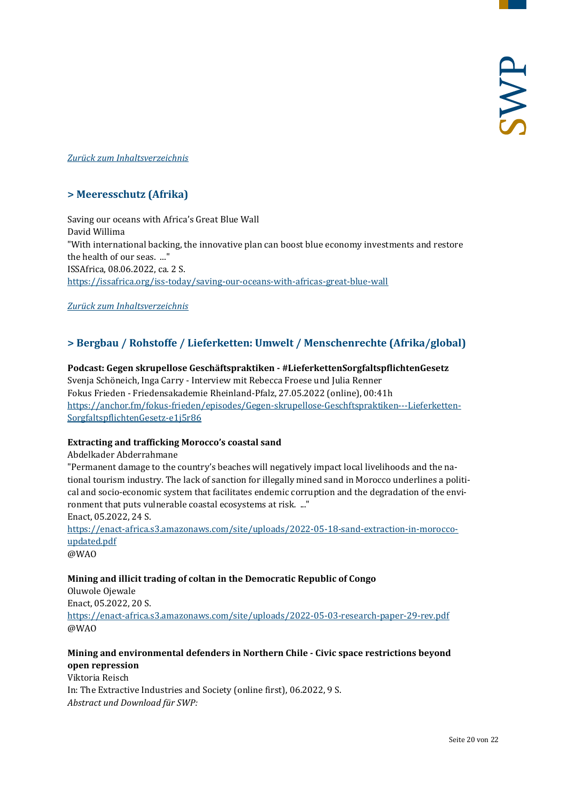## <span id="page-19-0"></span>*[Zurück zum Inhaltsverzeichnis](#page-0-0)*

## **> Meeresschutz (Afrika)**

Saving our oceans with Africa's Great Blue Wall David Willima "With international backing, the innovative plan can boost blue economy investments and restore the health of our seas. ..." ISSAfrica, 08.06.2022, ca. 2 S. <https://issafrica.org/iss-today/saving-our-oceans-with-africas-great-blue-wall>

<span id="page-19-1"></span>*[Zurück zum Inhaltsverzeichnis](#page-0-0)*

## **> Bergbau / Rohstoffe / Lieferketten: Umwelt / Menschenrechte (Afrika/global)**

**Podcast: Gegen skrupellose Geschäftspraktiken - #LieferkettenSorgfaltspflichtenGesetz** Svenja Schöneich, Inga Carry - Interview mit Rebecca Froese und Julia Renner Fokus Frieden - Friedensakademie Rheinland-Pfalz, 27.05.2022 (online), 00:41h [https://anchor.fm/fokus-frieden/episodes/Gegen-skrupellose-Geschftspraktiken---Lieferketten-](https://anchor.fm/fokus-frieden/episodes/Gegen-skrupellose-Geschftspraktiken---LieferkettenSorgfaltspflichtenGesetz-e1j5r86)[SorgfaltspflichtenGesetz-e1j5r86](https://anchor.fm/fokus-frieden/episodes/Gegen-skrupellose-Geschftspraktiken---LieferkettenSorgfaltspflichtenGesetz-e1j5r86)

## **Extracting and trafficking Morocco's coastal sand**

#### Abdelkader Abderrahmane

"Permanent damage to the country's beaches will negatively impact local livelihoods and the national tourism industry. The lack of sanction for illegally mined sand in Morocco underlines a political and socio-economic system that facilitates endemic corruption and the degradation of the environment that puts vulnerable coastal ecosystems at risk. ..." Enact, 05.2022, 24 S.

[https://enact-africa.s3.amazonaws.com/site/uploads/2022-05-18-sand-extraction-in-morocco](https://enact-africa.s3.amazonaws.com/site/uploads/2022-05-18-sand-extraction-in-morocco-updated.pdf)[updated.pdf](https://enact-africa.s3.amazonaws.com/site/uploads/2022-05-18-sand-extraction-in-morocco-updated.pdf)

@WAO

## **Mining and illicit trading of coltan in the Democratic Republic of Congo**

Oluwole Ojewale Enact, 05.2022, 20 S. <https://enact-africa.s3.amazonaws.com/site/uploads/2022-05-03-research-paper-29-rev.pdf> @WAO

## **Mining and environmental defenders in Northern Chile - Civic space restrictions beyond open repression**

Viktoria Reisch In: The Extractive Industries and Society (online first), 06.2022, 9 S. *Abstract und Download für SWP:*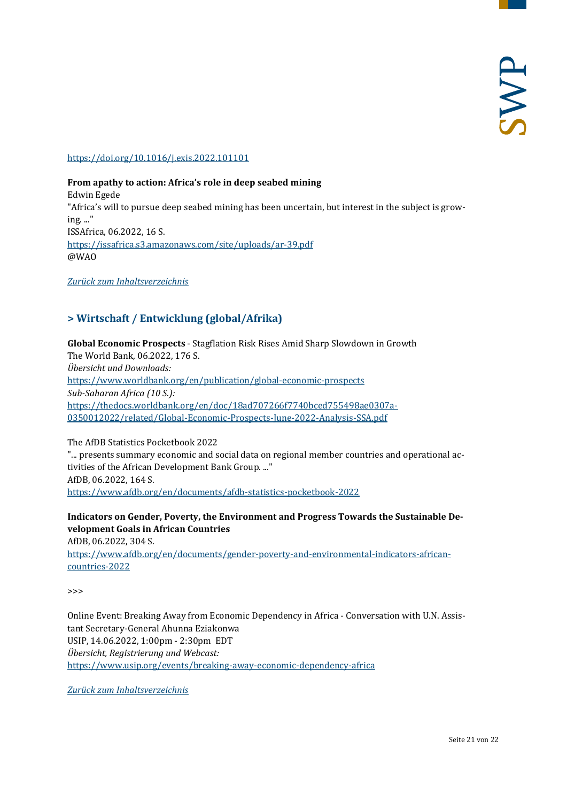## <https://doi.org/10.1016/j.exis.2022.101101>

## **From apathy to action: Africa's role in deep seabed mining** Edwin Egede "Africa's will to pursue deep seabed mining has been uncertain, but interest in the subject is growing. ..." ISSAfrica, 06.2022, 16 S. <https://issafrica.s3.amazonaws.com/site/uploads/ar-39.pdf> @WAO

<span id="page-20-0"></span>*[Zurück zum Inhaltsverzeichnis](#page-0-0)*

## **> Wirtschaft / Entwicklung (global/Afrika)**

**Global Economic Prospects** - Stagflation Risk Rises Amid Sharp Slowdown in Growth The World Bank, 06.2022, 176 S. *Übersicht und Downloads:* <https://www.worldbank.org/en/publication/global-economic-prospects> *Sub-Saharan Africa (10 S.):* [https://thedocs.worldbank.org/en/doc/18ad707266f7740bced755498ae0307a-](https://thedocs.worldbank.org/en/doc/18ad707266f7740bced755498ae0307a-0350012022/related/Global-Economic-Prospects-June-2022-Analysis-SSA.pdf)[0350012022/related/Global-Economic-Prospects-June-2022-Analysis-SSA.pdf](https://thedocs.worldbank.org/en/doc/18ad707266f7740bced755498ae0307a-0350012022/related/Global-Economic-Prospects-June-2022-Analysis-SSA.pdf)

The AfDB Statistics Pocketbook 2022 "... presents summary economic and social data on regional member countries and operational activities of the African Development Bank Group. ..." AfDB, 06.2022, 164 S. <https://www.afdb.org/en/documents/afdb-statistics-pocketbook-2022>

**Indicators on Gender, Poverty, the Environment and Progress Towards the Sustainable Development Goals in African Countries** AfDB, 06.2022, 304 S. [https://www.afdb.org/en/documents/gender-poverty-and-environmental-indicators-african](https://www.afdb.org/en/documents/gender-poverty-and-environmental-indicators-african-countries-2022)[countries-2022](https://www.afdb.org/en/documents/gender-poverty-and-environmental-indicators-african-countries-2022)

>>>

Online Event: Breaking Away from Economic Dependency in Africa - Conversation with U.N. Assistant Secretary-General Ahunna Eziakonwa USIP, 14.06.2022, 1:00pm - 2:30pm EDT *Übersicht, Registrierung und Webcast:* <https://www.usip.org/events/breaking-away-economic-dependency-africa>